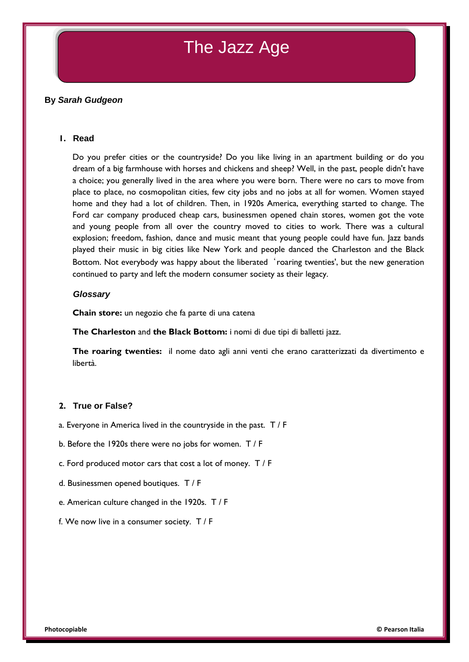# The Jazz Age

### **By** *Sarah Gudgeon*

#### **1. Read**

Do you prefer cities or the countryside? Do you like living in an apartment building or do you dream of a big farmhouse with horses and chickens and sheep? Well, in the past, people didn't have a choice; you generally lived in the area where you were born. There were no cars to move from place to place, no cosmopolitan cities, few city jobs and no jobs at all for women. Women stayed home and they had a lot of children. Then, in 1920s America, everything started to change. The Ford car company produced cheap cars, businessmen opened chain stores, women got the vote and young people from all over the country moved to cities to work. There was a cultural explosion; freedom, fashion, dance and music meant that young people could have fun. Jazz bands played their music in big cities like New York and people danced the Charleston and the Black Bottom. Not everybody was happy about the liberated 'roaring twenties', but the new generation continued to party and left the modern consumer society as their legacy.

#### *Glossary*

**Chain store:** un negozio che fa parte di una catena

**The Charleston** and **the Black Bottom:** i nomi di due tipi di balletti jazz.

**The roaring twenties:** il nome dato agli anni venti che erano caratterizzati da divertimento e libertà.

#### **2. True or False?**

- a. Everyone in America lived in the countryside in the past. T / F
- b. Before the 1920s there were no jobs for women. T / F
- c. Ford produced motor cars that cost a lot of money. T / F
- d. Businessmen opened boutiques. T / F
- e. American culture changed in the 1920s. T / F
- f. We now live in a consumer society. T / F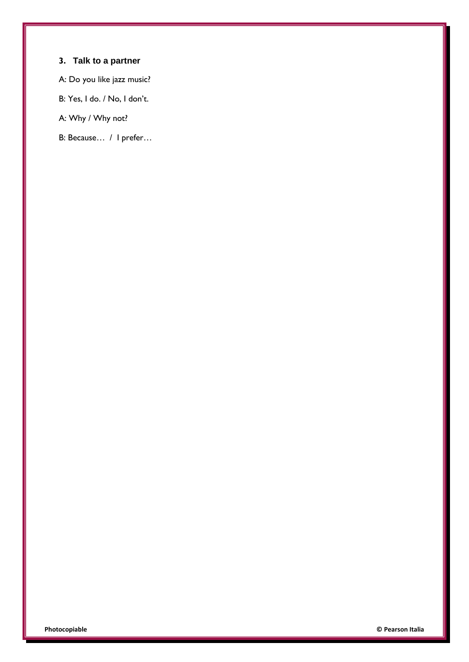# **3. Talk to a partner**

A: Do you like jazz music?

B: Yes, I do. / No, I don't.

A: Why / Why not?

B: Because… / I prefer…